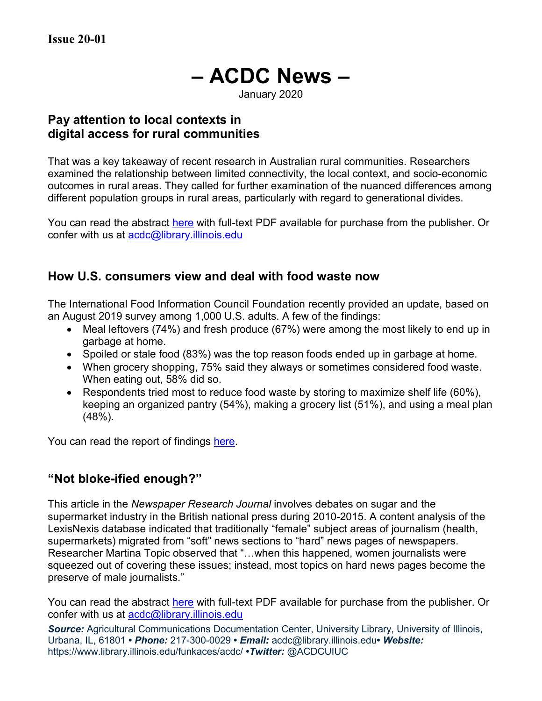# **– ACDC News –**

January 2020

## **Pay attention to local contexts in digital access for rural communities**

That was a key takeaway of recent research in Australian rural communities. Researchers examined the relationship between limited connectivity, the local context, and socio-economic outcomes in rural areas. They called for further examination of the nuanced differences among different population groups in rural areas, particularly with regard to generational divides.

You can read the abstract [here](https://tandfonline.com/doi/full/10.1080/22041451.2019.1601493) with full-text PDF available for purchase from the publisher. Or confer with us at [acdc@library.illinois.edu](mailto:acdc@library.illinois.edu)

## **How U.S. consumers view and deal with food waste now**

The International Food Information Council Foundation recently provided an update, based on an August 2019 survey among 1,000 U.S. adults. A few of the findings:

- Meal leftovers (74%) and fresh produce (67%) were among the most likely to end up in garbage at home.
- Spoiled or stale food (83%) was the top reason foods ended up in garbage at home.
- When grocery shopping, 75% said they always or sometimes considered food waste. When eating out, 58% did so.
- Respondents tried most to reduce food waste by storing to maximize shelf life (60%), keeping an organized pantry (54%), making a grocery list (51%), and using a meal plan (48%).

You can read the report of findings [here.](https://foodinsight.org/consumers-perception-food-waste/)

# **"Not bloke-ified enough?"**

This article in the *Newspaper Research Journal* involves debates on sugar and the supermarket industry in the British national press during 2010-2015. A content analysis of the LexisNexis database indicated that traditionally "female" subject areas of journalism (health, supermarkets) migrated from "soft" news sections to "hard" news pages of newspapers. Researcher Martina Topic observed that "…when this happened, women journalists were squeezed out of covering these issues; instead, most topics on hard news pages become the preserve of male journalists."

You can read the abstract [here](https://journals.sagepub.com/doi/10.1177/0739532918806872) with full-text PDF available for purchase from the publisher. Or confer with us at acdc@library.illinois.edu

**Source:** Agricultural Communications Documentation Center, University Library, University of Illinois, Urbana, IL, 61801 **•** *Phone:* 217-300-0029 **•** *Email:* acdc@library.illinois.edu**•** *Website:* https://www.library.illinois.edu/funkaces/acdc/ **•***Twitter:* @ACDCUIUC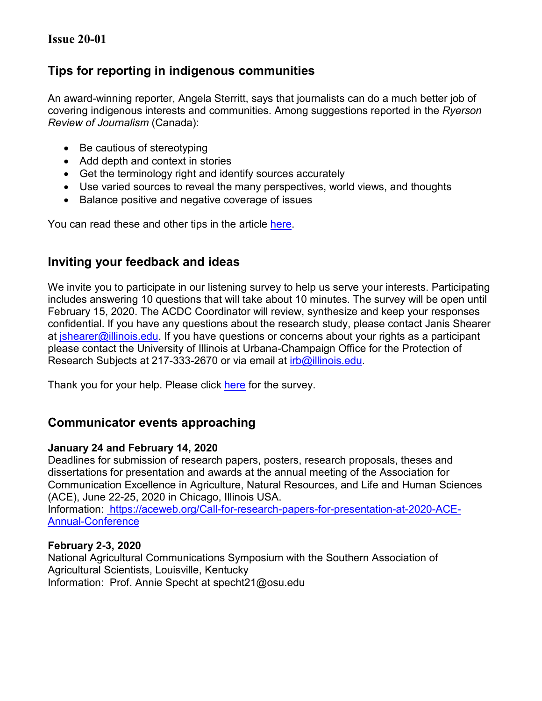## **Issue 20-01**

## **Tips for reporting in indigenous communities**

An award-winning reporter, Angela Sterritt, says that journalists can do a much better job of covering indigenous interests and communities. Among suggestions reported in the *Ryerson Review of Journalism* (Canada):

- Be cautious of stereotyping
- Add depth and context in stories
- Get the terminology right and identify sources accurately
- Use varied sources to reveal the many perspectives, world views, and thoughts
- Balance positive and negative coverage of issues

You can read these and other tips in the article [here.](https://rrj.ca/reporting-on-indigenous-issues-heed-angela-sterritts-top-five-tips)

## **Inviting your feedback and ideas**

We invite you to participate in our listening survey to help us serve your interests. Participating includes answering 10 questions that will take about 10 minutes. The survey will be open until February 15, 2020. The ACDC Coordinator will review, synthesize and keep your responses confidential. If you have any questions about the research study, please contact Janis Shearer at *ishearer@illinois.edu.* If you have questions or concerns about your rights as a participant please contact the University of Illinois at Urbana-Champaign Office for the Protection of Research Subjects at 217-333-2670 or via email at *irb@illinois.edu.* 

Thank you for your help. Please click [here](https://surveys.illinois.edu/sec/940597) for the survey.

# **Communicator events approaching**

#### **January 24 and February 14, 2020**

Deadlines for submission of research papers, posters, research proposals, theses and dissertations for presentation and awards at the annual meeting of the Association for Communication Excellence in Agriculture, Natural Resources, and Life and Human Sciences (ACE), June 22-25, 2020 in Chicago, Illinois USA.

Information: [https://aceweb.org/Call-for-research-papers-for-presentation-at-2020-ACE-](https://aceweb.org/Call-for-research-papers-for-presentation-at-2020-ACE-Annual-Conference)[Annual-Conference](https://aceweb.org/Call-for-research-papers-for-presentation-at-2020-ACE-Annual-Conference)

#### **February 2-3, 2020**

National Agricultural Communications Symposium with the Southern Association of Agricultural Scientists, Louisville, Kentucky Information: Prof. Annie Specht at specht21@osu.edu